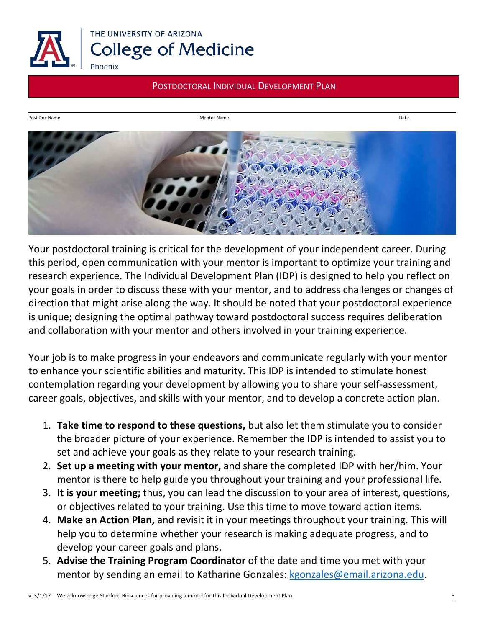

Post Doc Name Date<br>Mentor Name Date



Your postdoctoral training is critical for the development of your independent career. During this period, open communication with your mentor is important to optimize your training and research experience. The Individual Development Plan (IDP) is designed to help you reflect on your goals in order to discuss these with your mentor, and to address challenges or changes of direction that might arise along the way. It should be noted that your postdoctoral experience is unique; designing the optimal pathway toward postdoctoral success requires deliberation and collaboration with your mentor and others involved in your training experience.

Your job is to make progress in your endeavors and communicate regularly with your mentor to enhance your scientific abilities and maturity. This IDP is intended to stimulate honest contemplation regarding your development by allowing you to share your self-assessment, career goals, objectives, and skills with your mentor, and to develop a concrete action plan.

- 1. **Take time to respond to these questions,** but also let them stimulate you to consider the broader picture of your experience. Remember the IDP is intended to assist you to set and achieve your goals as they relate to your research training.
- 2. **Set up a meeting with your mentor,** and share the completed IDP with her/him. Your mentor is there to help guide you throughout your training and your professional life.
- 3. **It is your meeting;** thus, you can lead the discussion to your area of interest, questions, or objectives related to your training. Use this time to move toward action items.
- 4. **Make an Action Plan,** and revisit it in your meetings throughout your training. This will help you to determine whether your research is making adequate progress, and to develop your career goals and plans.
- 5. **Advise the Training Program Coordinator** of the date and time you met with your mentor by sending an email to Katharine Gonzales: [kgonzales@email.arizona.edu.](mailto:kgonzales@email.arizona.edu)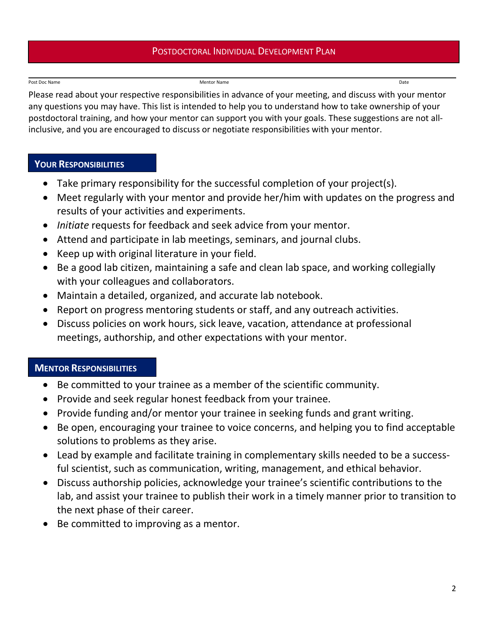#### Post Doc Name **Date of the Contract Oracle Contract Oracle Contract Oracle Contract Oracle Contract Oracle Contract Oracle Contract Oracle Contract Oracle Contract Oracle Contract Oracle Contract Oracle Contract Oracle Con**

Please read about your respective responsibilities in advance of your meeting, and discuss with your mentor any questions you may have. This list is intended to help you to understand how to take ownership of your postdoctoral training, and how your mentor can support you with your goals. These suggestions are not allinclusive, and you are encouraged to discuss or negotiate responsibilities with your mentor.

#### **YOUR RESPONSIBILITIES**

- Take primary responsibility for the successful completion of your project(s).
- Meet regularly with your mentor and provide her/him with updates on the progress and results of your activities and experiments.
- *Initiate* requests for feedback and seek advice from your mentor.
- Attend and participate in lab meetings, seminars, and journal clubs.
- Keep up with original literature in your field.
- Be a good lab citizen, maintaining a safe and clean lab space, and working collegially with your colleagues and collaborators.
- Maintain a detailed, organized, and accurate lab notebook.
- Report on progress mentoring students or staff, and any outreach activities.
- Discuss policies on work hours, sick leave, vacation, attendance at professional meetings, authorship, and other expectations with your mentor.

# **MENTOR RESPONSIBILITIES**

- Be committed to your trainee as a member of the scientific community.
- Provide and seek regular honest feedback from your trainee.
- Provide funding and/or mentor your trainee in seeking funds and grant writing.
- Be open, encouraging your trainee to voice concerns, and helping you to find acceptable solutions to problems as they arise.
- Lead by example and facilitate training in complementary skills needed to be a successful scientist, such as communication, writing, management, and ethical behavior.
- Discuss authorship policies, acknowledge your trainee's scientific contributions to the lab, and assist your trainee to publish their work in a timely manner prior to transition to the next phase of their career.
- Be committed to improving as a mentor.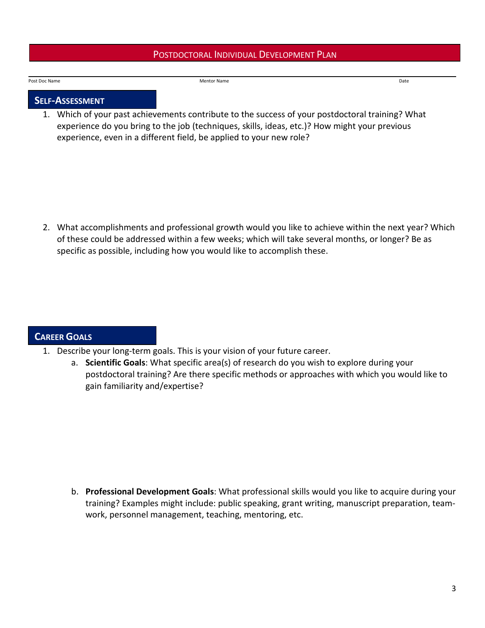#### Post Doc Name **Date and Contract Contract Contract Contract Contract Contract Contract Contract Contract Contract Contract Contract Contract Contract Contract Contract Contract Contract Contract Contract Contract Contract**

#### **SELF-ASSESSMENT**

1. Which of your past achievements contribute to the success of your postdoctoral training? What experience do you bring to the job (techniques, skills, ideas, etc.)? How might your previous experience, even in a different field, be applied to your new role?

2. What accomplishments and professional growth would you like to achieve within the next year? Which of these could be addressed within a few weeks; which will take several months, or longer? Be as specific as possible, including how you would like to accomplish these.

## **CAREER GOALS**

- 1. Describe your long-term goals. This is your vision of your future career.
	- a. **Scientific Goals**: What specific area(s) of research do you wish to explore during your postdoctoral training? Are there specific methods or approaches with which you would like to gain familiarity and/expertise?

b. **Professional Development Goals**: What professional skills would you like to acquire during your training? Examples might include: public speaking, grant writing, manuscript preparation, teamwork, personnel management, teaching, mentoring, etc.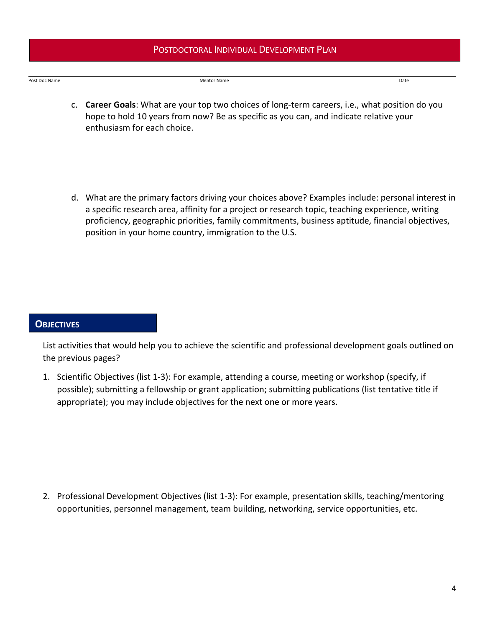Post Doc Name **Date of the Contract Oracle Contract Oracle Contract Oracle Contract Oracle Contract Oracle Contract Oracle Contract Oracle Date** 

- c. **Career Goals**: What are your top two choices of long-term careers, i.e., what position do you hope to hold 10 years from now? Be as specific as you can, and indicate relative your enthusiasm for each choice.
- d. What are the primary factors driving your choices above? Examples include: personal interest in a specific research area, affinity for a project or research topic, teaching experience, writing proficiency, geographic priorities, family commitments, business aptitude, financial objectives, position in your home country, immigration to the U.S.

#### **OBJECTIVES**

List activities that would help you to achieve the scientific and professional development goals outlined on the previous pages?

1. Scientific Objectives (list 1-3): For example, attending a course, meeting or workshop (specify, if possible); submitting a fellowship or grant application; submitting publications (list tentative title if appropriate); you may include objectives for the next one or more years.

2. Professional Development Objectives (list 1-3): For example, presentation skills, teaching/mentoring opportunities, personnel management, team building, networking, service opportunities, etc.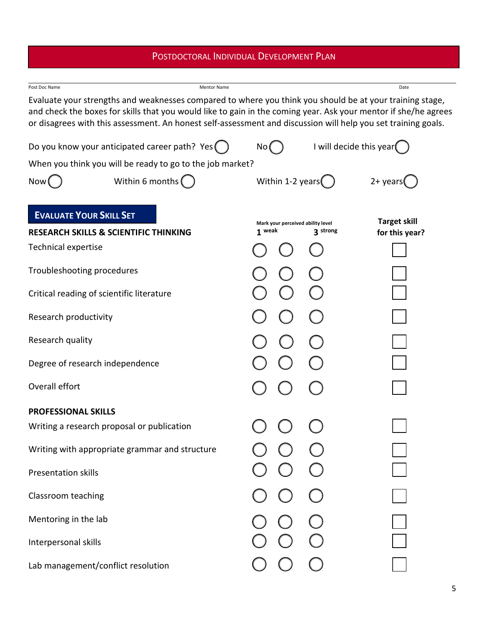| Post Doc Name<br>Evaluate your strengths and weaknesses compared to where you think you should be at your training stage,<br>and check the boxes for skills that you would like to gain in the coming year. Ask your mentor if she/he agrees<br>or disagrees with this assessment. An honest self-assessment and discussion will help you set training goals. | <b>Mentor Name</b> |                  |  |                                   | Date                |
|---------------------------------------------------------------------------------------------------------------------------------------------------------------------------------------------------------------------------------------------------------------------------------------------------------------------------------------------------------------|--------------------|------------------|--|-----------------------------------|---------------------|
| Do you know your anticipated career path? Yes (                                                                                                                                                                                                                                                                                                               |                    | No (             |  | I will decide this year           |                     |
| When you think you will be ready to go to the job market?                                                                                                                                                                                                                                                                                                     |                    |                  |  |                                   |                     |
| Within 6 months $($<br>Now(                                                                                                                                                                                                                                                                                                                                   |                    | Within 1-2 years |  |                                   | $2+$ years          |
| <b>EVALUATE YOUR SKILL SET</b>                                                                                                                                                                                                                                                                                                                                |                    |                  |  | Mark your perceived ability level | <b>Target skill</b> |
| <b>RESEARCH SKILLS &amp; SCIENTIFIC THINKING</b>                                                                                                                                                                                                                                                                                                              |                    | 1 weak           |  | 3 strong                          | for this year?      |
| <b>Technical expertise</b>                                                                                                                                                                                                                                                                                                                                    |                    |                  |  |                                   |                     |
| Troubleshooting procedures                                                                                                                                                                                                                                                                                                                                    |                    |                  |  |                                   |                     |
| Critical reading of scientific literature                                                                                                                                                                                                                                                                                                                     |                    |                  |  |                                   |                     |
| Research productivity                                                                                                                                                                                                                                                                                                                                         |                    |                  |  |                                   |                     |
| Research quality                                                                                                                                                                                                                                                                                                                                              |                    |                  |  |                                   |                     |
| Degree of research independence                                                                                                                                                                                                                                                                                                                               |                    |                  |  |                                   |                     |
| Overall effort                                                                                                                                                                                                                                                                                                                                                |                    |                  |  |                                   |                     |
| <b>PROFESSIONAL SKILLS</b>                                                                                                                                                                                                                                                                                                                                    |                    |                  |  |                                   |                     |
| Writing a research proposal or publication                                                                                                                                                                                                                                                                                                                    |                    |                  |  |                                   |                     |
| Writing with appropriate grammar and structure                                                                                                                                                                                                                                                                                                                |                    |                  |  |                                   |                     |
| Presentation skills                                                                                                                                                                                                                                                                                                                                           |                    |                  |  |                                   |                     |
| Classroom teaching                                                                                                                                                                                                                                                                                                                                            |                    |                  |  |                                   |                     |
| Mentoring in the lab                                                                                                                                                                                                                                                                                                                                          |                    |                  |  |                                   |                     |
| Interpersonal skills                                                                                                                                                                                                                                                                                                                                          |                    |                  |  |                                   |                     |
| Lab management/conflict resolution                                                                                                                                                                                                                                                                                                                            |                    |                  |  |                                   |                     |